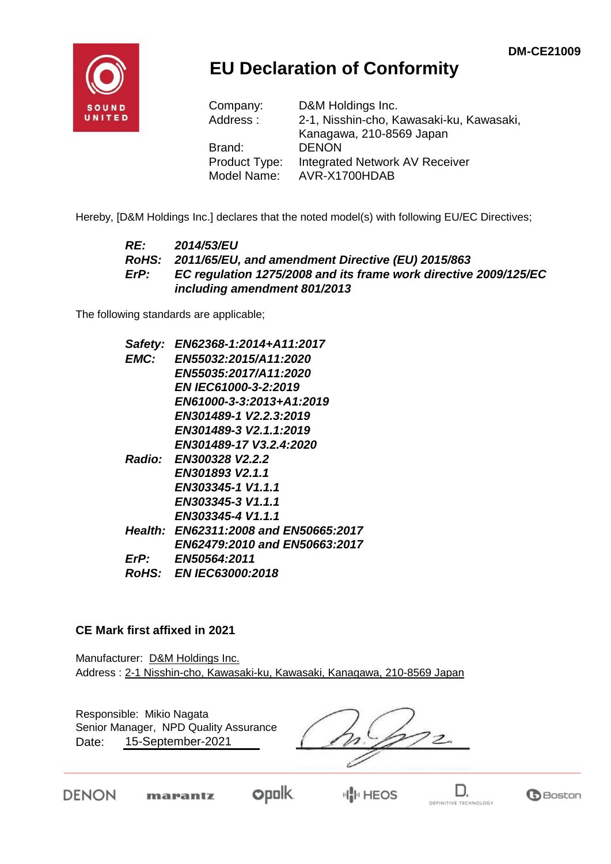

## **EU Declaration of Conformity**

| Company:      | D&M Holdings Inc.                        |
|---------------|------------------------------------------|
| Address:      | 2-1, Nisshin-cho, Kawasaki-ku, Kawasaki, |
|               | Kanagawa, 210-8569 Japan                 |
| Brand:        | <b>DENON</b>                             |
| Product Type: | Integrated Network AV Receiver           |
| Model Name:   | AVR-X1700HDAB                            |

Hereby, [D&M Holdings Inc.] declares that the noted model(s) with following EU/EC Directives;

#### *RE: 2014/53/EU RoHS: 2011/65/EU, and amendment Directive (EU) 2015/863 ErP: EC regulation 1275/2008 and its frame work directive 2009/125/EC including amendment 801/2013*

The following standards are applicable;

| Safety:     | EN62368-1:2014+A11:2017               |
|-------------|---------------------------------------|
| <b>EMC:</b> | <b>EN55032:2015/A11:2020</b>          |
|             | EN55035:2017/A11:2020                 |
|             | <b>EN IEC61000-3-2:2019</b>           |
|             | EN61000-3-3:2013+A1:2019              |
|             | EN301489-1 V2.2.3:2019                |
|             | EN301489-3 V2.1.1:2019                |
|             | EN301489-17 V3.2.4:2020               |
|             | Radio: EN300328 V2.2.2                |
|             | EN301893 V2.1.1                       |
|             | EN303345-1 V1.1.1                     |
|             | EN303345-3 V1.1.1                     |
|             | EN303345-4 V1.1.1                     |
|             | Health: EN62311:2008 and EN50665:2017 |
|             | EN62479:2010 and EN50663:2017         |
| ErP:        | <b>EN50564:2011</b>                   |
|             | <i>RoHS: EN IEC63000:2018</i>         |

#### **CE Mark first affixed in 2021**

Manufacturer: D&M Holdings Inc. Address : 2-1 Nisshin-cho, Kawasaki-ku, Kawasaki, Kanagawa, 210-8569 Japan

Responsible: Mikio Nagata Senior Manager, NPD Quality Assurance $\overline{z}$ 15-September-2021 Date:

**DENON** 

opolk.

**HIP HEOS**